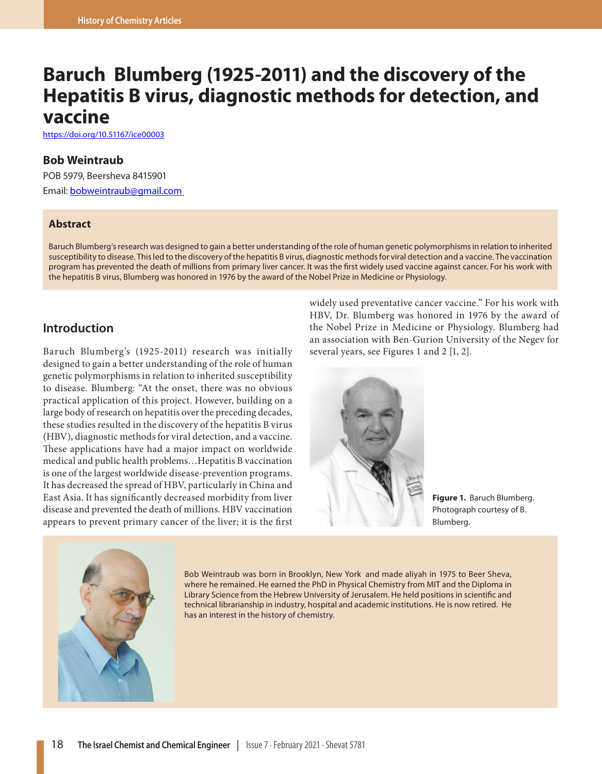# **Baruch Blumberg (1925-2011) and the discovery of the Hepatitis B virus, diagnostic methods for detection, and vaccine**

https://doi.org/10.51167/ice00003

#### **Bob Weintraub**

POB 5979, Beersheva 8415901 Email: [bobweintraub@gmail.com](mailto:bob@sce.ac.il) 

#### **Abstract**

Baruch Blumberg's research was designed to gain a better understanding of the role of human genetic polymorphisms in relation to inherited susceptibility to disease. This led to the discovery of the hepatitis B virus, diagnostic methods for viral detection and a vaccine. The vaccination program has prevented the death of millions from primary liver cancer. It was the first widely used vaccine against cancer. For his work with the hepatitis B virus, Blumberg was honored in 1976 by the award of the Nobel Prize in Medicine or Physiology.

#### **Introduction**

Baruch Blumberg's (1925-2011) research was initially designed to gain a better understanding of the role of human genetic polymorphisms in relation to inherited susceptibility to disease. Blumberg: "At the onset, there was no obvious practical application of this project. However, building on a large body of research on hepatitis over the preceding decades, these studies resulted in the discovery of the hepatitis B virus (HBV), diagnostic methods for viral detection, and a vaccine. These applications have had a major impact on worldwide medical and public health problems…Hepatitis B vaccination is one of the largest worldwide disease-prevention programs. It has decreased the spread of HBV, particularly in China and East Asia. It has significantly decreased morbidity from liver disease and prevented the death of millions. HBV vaccination appears to prevent primary cancer of the liver; it is the first

widely used preventative cancer vaccine." For his work with HBV, Dr. Blumberg was honored in 1976 by the award of the Nobel Prize in Medicine or Physiology. Blumberg had an association with Ben-Gurion University of the Negev for several years, see Figures 1 and 2 [1, 2].



**Figure 1.** Baruch Blumberg. Photograph courtesy of B. Blumberg.



Bob Weintraub was born in Brooklyn, New York and made aliyah in 1975 to Beer Sheva, where he remained. He earned the PhD in Physical Chemistry from MIT and the Diploma in Library Science from the Hebrew University of Jerusalem. He held positions in scientific and technical librarianship in industry, hospital and academic institutions. He is now retired. He has an interest in the history of chemistry.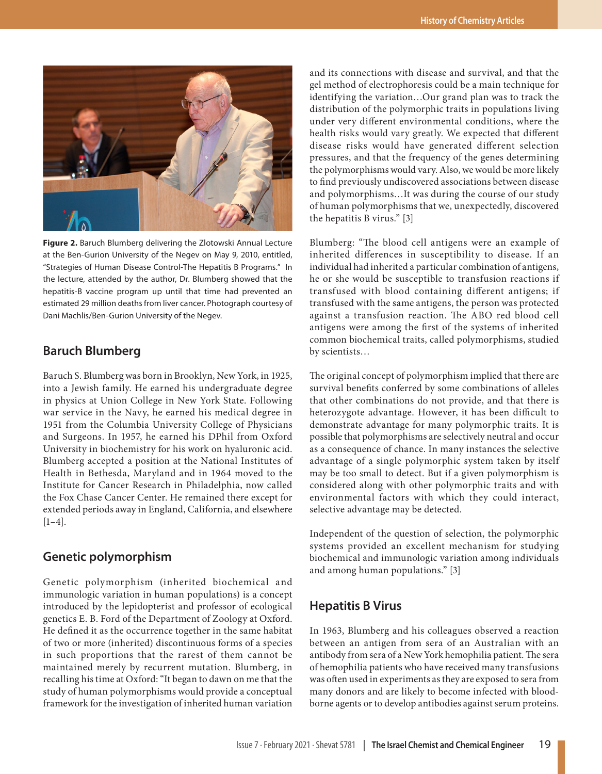

**Figure 2.** Baruch Blumberg delivering the Zlotowski Annual Lecture at the Ben-Gurion University of the Negev on May 9, 2010, entitled, "Strategies of Human Disease Control-The Hepatitis B Programs." In the lecture, attended by the author, Dr. Blumberg showed that the hepatitis-B vaccine program up until that time had prevented an estimated 29 million deaths from liver cancer. Photograph courtesy of Dani Machlis/Ben-Gurion University of the Negev.

# **Baruch Blumberg**

Baruch S. Blumberg was born in Brooklyn, New York, in 1925, into a Jewish family. He earned his undergraduate degree in physics at Union College in New York State. Following war service in the Navy, he earned his medical degree in 1951 from the Columbia University College of Physicians and Surgeons. In 1957, he earned his DPhil from Oxford University in biochemistry for his work on hyaluronic acid. Blumberg accepted a position at the National Institutes of Health in Bethesda, Maryland and in 1964 moved to the Institute for Cancer Research in Philadelphia, now called the Fox Chase Cancer Center. He remained there except for extended periods away in England, California, and elsewhere  $[1-4]$ .

#### **Genetic polymorphism**

Genetic polymorphism (inherited biochemical and immunologic variation in human populations) is a concept introduced by the lepidopterist and professor of ecological genetics E. B. Ford of the Department of Zoology at Oxford. He defined it as the occurrence together in the same habitat of two or more (inherited) discontinuous forms of a species in such proportions that the rarest of them cannot be maintained merely by recurrent mutation. Blumberg, in recalling his time at Oxford: "It began to dawn on me that the study of human polymorphisms would provide a conceptual framework for the investigation of inherited human variation

and its connections with disease and survival, and that the gel method of electrophoresis could be a main technique for identifying the variation…Our grand plan was to track the distribution of the polymorphic traits in populations living under very different environmental conditions, where the health risks would vary greatly. We expected that different disease risks would have generated different selection pressures, and that the frequency of the genes determining the polymorphisms would vary. Also, we would be more likely to find previously undiscovered associations between disease and polymorphisms…It was during the course of our study of human polymorphisms that we, unexpectedly, discovered the hepatitis B virus." [3]

Blumberg: "The blood cell antigens were an example of inherited differences in susceptibility to disease. If an individual had inherited a particular combination of antigens, he or she would be susceptible to transfusion reactions if transfused with blood containing different antigens; if transfused with the same antigens, the person was protected against a transfusion reaction. The ABO red blood cell antigens were among the first of the systems of inherited common biochemical traits, called polymorphisms, studied by scientists…

The original concept of polymorphism implied that there are survival benefits conferred by some combinations of alleles that other combinations do not provide, and that there is heterozygote advantage. However, it has been difficult to demonstrate advantage for many polymorphic traits. It is possible that polymorphisms are selectively neutral and occur as a consequence of chance. In many instances the selective advantage of a single polymorphic system taken by itself may be too small to detect. But if a given polymorphism is considered along with other polymorphic traits and with environmental factors with which they could interact, selective advantage may be detected.

Independent of the question of selection, the polymorphic systems provided an excellent mechanism for studying biochemical and immunologic variation among individuals and among human populations." [3]

# **Hepatitis B Virus**

In 1963, Blumberg and his colleagues observed a reaction between an antigen from sera of an Australian with an antibody from sera of a New York hemophilia patient. The sera of hemophilia patients who have received many transfusions was often used in experiments as they are exposed to sera from many donors and are likely to become infected with bloodborne agents or to develop antibodies against serum proteins.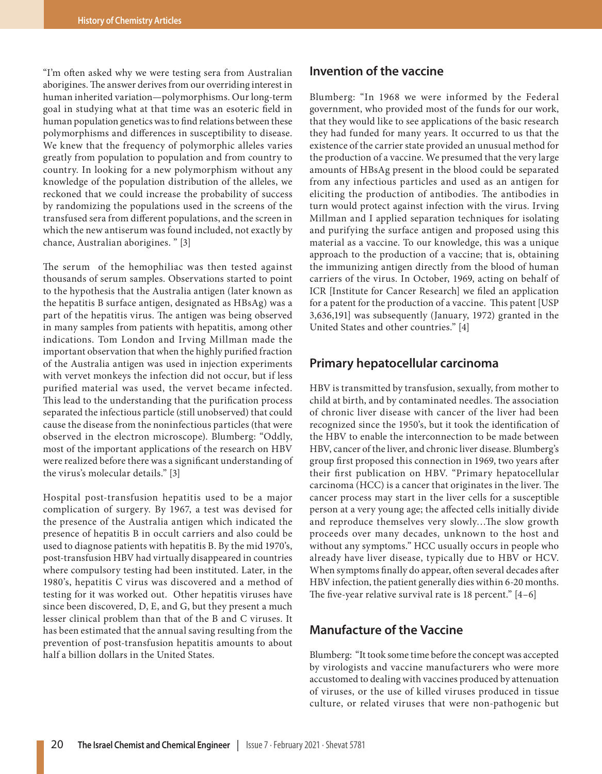"I'm often asked why we were testing sera from Australian aborigines. The answer derives from our overriding interest in human inherited variation—polymorphisms. Our long-term goal in studying what at that time was an esoteric field in human population genetics was to find relations between these polymorphisms and differences in susceptibility to disease. We knew that the frequency of polymorphic alleles varies greatly from population to population and from country to country. In looking for a new polymorphism without any knowledge of the population distribution of the alleles, we reckoned that we could increase the probability of success by randomizing the populations used in the screens of the transfused sera from different populations, and the screen in which the new antiserum was found included, not exactly by chance, Australian aborigines. " [3]

The serum of the hemophiliac was then tested against thousands of serum samples. Observations started to point to the hypothesis that the Australia antigen (later known as the hepatitis B surface antigen, designated as HBsAg) was a part of the hepatitis virus. The antigen was being observed in many samples from patients with hepatitis, among other indications. Tom London and Irving Millman made the important observation that when the highly purified fraction of the Australia antigen was used in injection experiments with vervet monkeys the infection did not occur, but if less purified material was used, the vervet became infected. This lead to the understanding that the purification process separated the infectious particle (still unobserved) that could cause the disease from the noninfectious particles (that were observed in the electron microscope). Blumberg: "Oddly, most of the important applications of the research on HBV were realized before there was a significant understanding of the virus's molecular details." [3]

Hospital post-transfusion hepatitis used to be a major complication of surgery. By 1967, a test was devised for the presence of the Australia antigen which indicated the presence of hepatitis B in occult carriers and also could be used to diagnose patients with hepatitis B. By the mid 1970's, post-transfusion HBV had virtually disappeared in countries where compulsory testing had been instituted. Later, in the 1980's, hepatitis C virus was discovered and a method of testing for it was worked out. Other hepatitis viruses have since been discovered, D, E, and G, but they present a much lesser clinical problem than that of the B and C viruses. It has been estimated that the annual saving resulting from the prevention of post-transfusion hepatitis amounts to about half a billion dollars in the United States.

### **Invention of the vaccine**

Blumberg: "In 1968 we were informed by the Federal government, who provided most of the funds for our work, that they would like to see applications of the basic research they had funded for many years. It occurred to us that the existence of the carrier state provided an unusual method for the production of a vaccine. We presumed that the very large amounts of HBsAg present in the blood could be separated from any infectious particles and used as an antigen for eliciting the production of antibodies. The antibodies in turn would protect against infection with the virus. Irving Millman and I applied separation techniques for isolating and purifying the surface antigen and proposed using this material as a vaccine. To our knowledge, this was a unique approach to the production of a vaccine; that is, obtaining the immunizing antigen directly from the blood of human carriers of the virus. In October, 1969, acting on behalf of ICR [Institute for Cancer Research] we filed an application for a patent for the production of a vaccine. This patent [USP 3,636,191] was subsequently (January, 1972) granted in the United States and other countries." [4]

### **Primary hepatocellular carcinoma**

HBV is transmitted by transfusion, sexually, from mother to child at birth, and by contaminated needles. The association of chronic liver disease with cancer of the liver had been recognized since the 1950's, but it took the identification of the HBV to enable the interconnection to be made between HBV, cancer of the liver, and chronic liver disease. Blumberg's group first proposed this connection in 1969, two years after their first publication on HBV. "Primary hepatocellular carcinoma (HCC) is a cancer that originates in the liver. The cancer process may start in the liver cells for a susceptible person at a very young age; the affected cells initially divide and reproduce themselves very slowly…The slow growth proceeds over many decades, unknown to the host and without any symptoms." HCC usually occurs in people who already have liver disease, typically due to HBV or HCV. When symptoms finally do appear, often several decades after HBV infection, the patient generally dies within 6-20 months. The five-year relative survival rate is 18 percent." [4–6]

# **Manufacture of the Vaccine**

Blumberg: "It took some time before the concept was accepted by virologists and vaccine manufacturers who were more accustomed to dealing with vaccines produced by attenuation of viruses, or the use of killed viruses produced in tissue culture, or related viruses that were non-pathogenic but